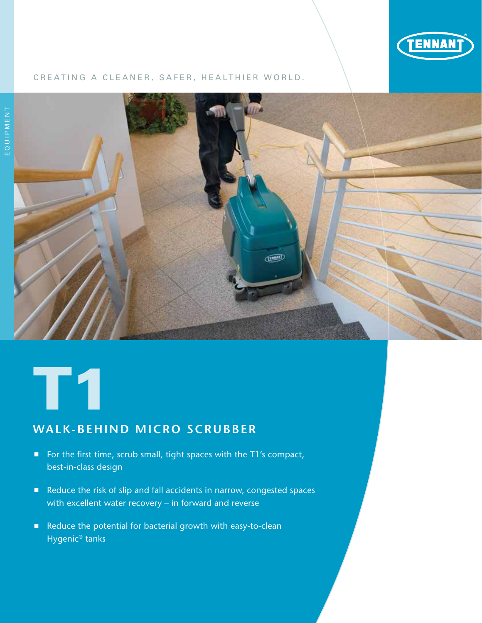

## CREATING A CLEANER, SAFER, HEALTHIER WORLD.



# T1

## **WALK-BEHIND MICRO SCRUBBER**

- For the first time, scrub small, tight spaces with the T1's compact, best-in-class design
- Reduce the risk of slip and fall accidents in narrow, congested spaces with excellent water recovery – in forward and reverse
- Reduce the potential for bacterial growth with easy-to-clean Hygenic® tanks